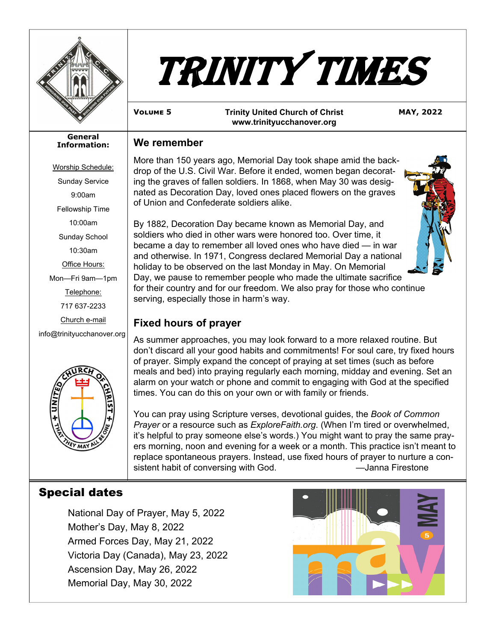

**General Information:**

Worship Schedule:



**VOLUME 5** Trinity United Church of Christ **MAY, 2022 www.trinityucchanover.org** 

## **We remember**

More than 150 years ago, Memorial Day took shape amid the backdrop of the U.S. Civil War. Before it ended, women began decorating the graves of fallen soldiers. In 1868, when May 30 was designated as Decoration Day, loved ones placed flowers on the graves of Union and Confederate soldiers alike.



By 1882, Decoration Day became known as Memorial Day, and soldiers who died in other wars were honored too. Over time, it became a day to remember all loved ones who have died — in war and otherwise. In 1971, Congress declared Memorial Day a national holiday to be observed on the last Monday in May. On Memorial Day, we pause to remember people who made the ultimate sacrifice for their country and for our freedom. We also pray for those who continue serving, especially those in harm's way.

# **Fixed hours of prayer**

As summer approaches, you may look forward to a more relaxed routine. But don't discard all your good habits and commitments! For soul care, try fixed hours of prayer. Simply expand the concept of praying at set times (such as before meals and bed) into praying regularly each morning, midday and evening. Set an alarm on your watch or phone and commit to engaging with God at the specified times. You can do this on your own or with family or friends.

You can pray using Scripture verses, devotional guides, the *Book of Common Prayer* or a resource such as *ExploreFaith.org*. (When I'm tired or overwhelmed, it's helpful to pray someone else's words.) You might want to pray the same prayers morning, noon and evening for a week or a month. This practice isn't meant to replace spontaneous prayers. Instead, use fixed hours of prayer to nurture a consistent habit of conversing with God. **A container a state of America** and Tirestone

# Special dates

National Day of Prayer, May 5, 2022 Mother's Day, May 8, 2022 Armed Forces Day, May 21, 2022 Victoria Day (Canada), May 23, 2022 Ascension Day, May 26, 2022 Memorial Day, May 30, 2022



Sunday Service 9:00am Fellowship Time 10:00am Sunday School 10:30am Office Hours: Mon—Fri 9am—1pm

Telephone:

717 637-2233

Church e-mail

info@trinityucchanover.org

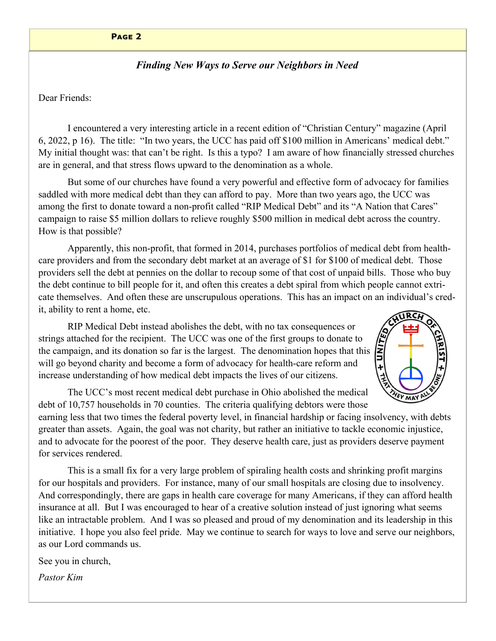### **PAGE 2**

### *Finding New Ways to Serve our Neighbors in Need*

Dear Friends:

 I encountered a very interesting article in a recent edition of "Christian Century" magazine (April 6, 2022, p 16). The title: "In two years, the UCC has paid off \$100 million in Americans' medical debt." My initial thought was: that can't be right. Is this a typo? I am aware of how financially stressed churches are in general, and that stress flows upward to the denomination as a whole.

 But some of our churches have found a very powerful and effective form of advocacy for families saddled with more medical debt than they can afford to pay. More than two years ago, the UCC was among the first to donate toward a non-profit called "RIP Medical Debt" and its "A Nation that Cares" campaign to raise \$5 million dollars to relieve roughly \$500 million in medical debt across the country. How is that possible?

 Apparently, this non-profit, that formed in 2014, purchases portfolios of medical debt from healthcare providers and from the secondary debt market at an average of \$1 for \$100 of medical debt. Those providers sell the debt at pennies on the dollar to recoup some of that cost of unpaid bills. Those who buy the debt continue to bill people for it, and often this creates a debt spiral from which people cannot extricate themselves. And often these are unscrupulous operations. This has an impact on an individual's credit, ability to rent a home, etc.

 RIP Medical Debt instead abolishes the debt, with no tax consequences or strings attached for the recipient. The UCC was one of the first groups to donate to the campaign, and its donation so far is the largest. The denomination hopes that this will go beyond charity and become a form of advocacy for health-care reform and increase understanding of how medical debt impacts the lives of our citizens.



 The UCC's most recent medical debt purchase in Ohio abolished the medical debt of 10,757 households in 70 counties. The criteria qualifying debtors were those

earning less that two times the federal poverty level, in financial hardship or facing insolvency, with debts greater than assets. Again, the goal was not charity, but rather an initiative to tackle economic injustice, and to advocate for the poorest of the poor. They deserve health care, just as providers deserve payment for services rendered.

 This is a small fix for a very large problem of spiraling health costs and shrinking profit margins for our hospitals and providers. For instance, many of our small hospitals are closing due to insolvency. And correspondingly, there are gaps in health care coverage for many Americans, if they can afford health insurance at all. But I was encouraged to hear of a creative solution instead of just ignoring what seems like an intractable problem. And I was so pleased and proud of my denomination and its leadership in this initiative. I hope you also feel pride. May we continue to search for ways to love and serve our neighbors, as our Lord commands us.

See you in church,

*Pastor Kim*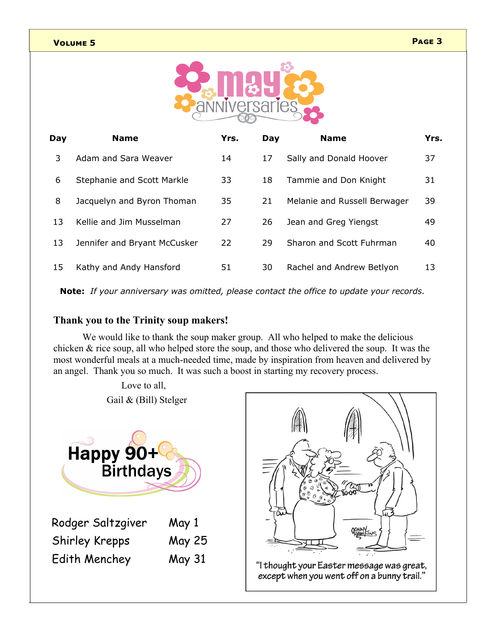

| Day | <b>Name</b>                  | Yrs. | Day | <b>Name</b>                  | Yrs. |
|-----|------------------------------|------|-----|------------------------------|------|
| 3   | Adam and Sara Weaver         | 14   | 17  | Sally and Donald Hoover      | 37   |
| 6   | Stephanie and Scott Markle   | 33   | 18  | Tammie and Don Knight        | 31   |
| 8   | Jacquelyn and Byron Thoman   | 35   | 21  | Melanie and Russell Berwager | 39   |
| 13  | Kellie and Jim Musselman     | 27   | 26  | Jean and Greg Yiengst        | 49   |
| 13  | Jennifer and Bryant McCusker | 22   | 29  | Sharon and Scott Fuhrman     | 40   |
| 15  | Kathy and Andy Hansford      | 51   | 30  | Rachel and Andrew Betlyon    | 13   |

**Note:** *If your anniversary was omitted, please contact the office to update your records.* 

### **Thank you to the Trinity soup makers!**

 We would like to thank the soup maker group. All who helped to make the delicious chicken & rice soup, all who helped store the soup, and those who delivered the soup. It was the most wonderful meals at a much-needed time, made by inspiration from heaven and delivered by an angel. Thank you so much. It was such a boost in starting my recovery process.

> Love to all, Gail & (Bill) Stelger



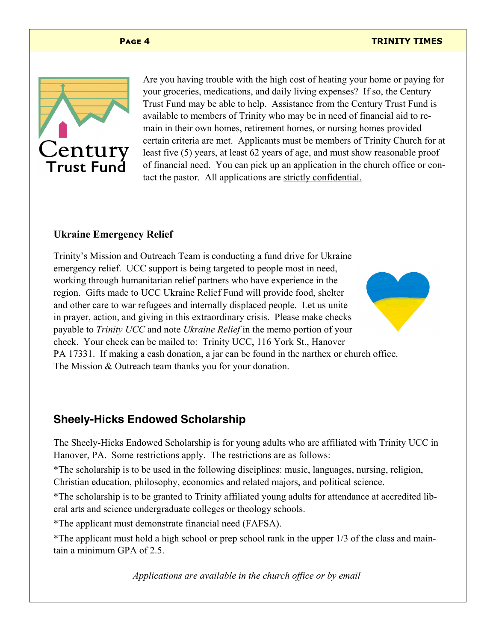### **PAGE 4 TRINITY TIMES**



Are you having trouble with the high cost of heating your home or paying for your groceries, medications, and daily living expenses? If so, the Century Trust Fund may be able to help. Assistance from the Century Trust Fund is available to members of Trinity who may be in need of financial aid to remain in their own homes, retirement homes, or nursing homes provided certain criteria are met. Applicants must be members of Trinity Church for at least five (5) years, at least 62 years of age, and must show reasonable proof of financial need. You can pick up an application in the church office or contact the pastor. All applications are strictly confidential.

### **Ukraine Emergency Relief**

Trinity's Mission and Outreach Team is conducting a fund drive for Ukraine emergency relief. UCC support is being targeted to people most in need, working through humanitarian relief partners who have experience in the region. Gifts made to UCC Ukraine Relief Fund will provide food, shelter and other care to war refugees and internally displaced people. Let us unite in prayer, action, and giving in this extraordinary crisis. Please make checks payable to *Trinity UCC* and note *Ukraine Relief* in the memo portion of your check. Your check can be mailed to: Trinity UCC, 116 York St., Hanover PA 17331. If making a cash donation, a jar can be found in the narthex or church office. The Mission & Outreach team thanks you for your donation.

## **Sheely-Hicks Endowed Scholarship**

The Sheely-Hicks Endowed Scholarship is for young adults who are affiliated with Trinity UCC in Hanover, PA. Some restrictions apply. The restrictions are as follows:

\*The scholarship is to be used in the following disciplines: music, languages, nursing, religion, Christian education, philosophy, economics and related majors, and political science.

\*The scholarship is to be granted to Trinity affiliated young adults for attendance at accredited liberal arts and science undergraduate colleges or theology schools.

\*The applicant must demonstrate financial need (FAFSA).

\*The applicant must hold a high school or prep school rank in the upper 1/3 of the class and maintain a minimum GPA of 2.5.

*Applications are available in the church office or by email*